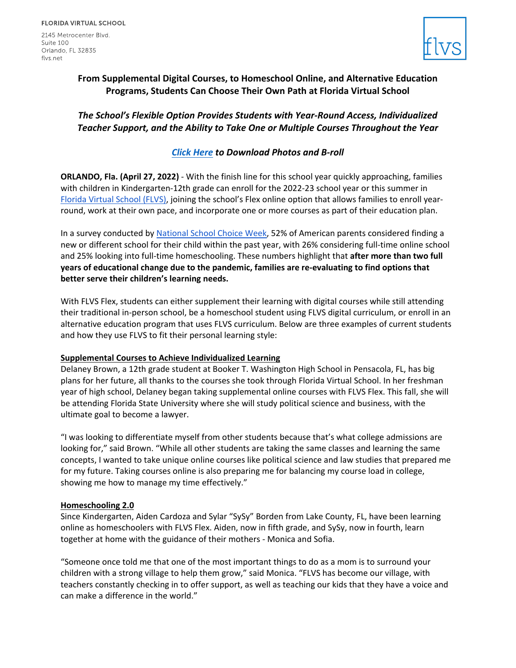2145 Metrocenter Blvd. Suite 100 Orlando, FL 32835 flys.net



# **From Supplemental Digital Courses, to Homeschool Online, and Alternative Education Programs, Students Can Choose Their Own Path at Florida Virtual School**

# *The School's Flexible Option Provides Students with Year-Round Access, Individualized Teacher Support, and the Ability to Take One or Multiple Courses Throughout the Year*

## *[Click Here](https://drive.google.com/drive/folders/1C3mFmIFPzncEq7iPLSrS6Nc6Jm6yB7H9?usp=sharing) to Download Photos and B-roll*

**ORLANDO, Fla. (April 27, 2022)** - With the finish line for this school year quickly approaching, families with children in Kindergarten-12th grade can enroll for the 2022-23 school year or this summer in [Florida Virtual School \(FLVS\),](https://www.flvs.net/flex) joining the school's Flex online option that allows families to enroll yearround, work at their own pace, and incorporate one or more courses as part of their education plan.

In a survey conducted b[y National School Choice Week,](https://schoolchoiceweek.com/how-parents-feel-about-school-choices-2022/) 52% of American parents considered finding a new or different school for their child within the past year, with 26% considering full-time online school and 25% looking into full-time homeschooling. These numbers highlight that **after more than two full years of educational change due to the pandemic, families are re-evaluating to find options that better serve their children's learning needs.** 

With FLVS Flex, students can either supplement their learning with digital courses while still attending their traditional in-person school, be a homeschool student using FLVS digital curriculum, or enroll in an alternative education program that uses FLVS curriculum. Below are three examples of current students and how they use FLVS to fit their personal learning style:

### **Supplemental Courses to Achieve Individualized Learning**

Delaney Brown, a 12th grade student at Booker T. Washington High School in Pensacola, FL, has big plans for her future, all thanks to the courses she took through Florida Virtual School. In her freshman year of high school, Delaney began taking supplemental online courses with FLVS Flex. This fall, she will be attending Florida State University where she will study political science and business, with the ultimate goal to become a lawyer.

"I was looking to differentiate myself from other students because that's what college admissions are looking for," said Brown. "While all other students are taking the same classes and learning the same concepts, I wanted to take unique online courses like political science and law studies that prepared me for my future. Taking courses online is also preparing me for balancing my course load in college, showing me how to manage my time effectively."

### **Homeschooling 2.0**

Since Kindergarten, Aiden Cardoza and Sylar "SySy" Borden from Lake County, FL, have been learning online as homeschoolers with FLVS Flex. Aiden, now in fifth grade, and SySy, now in fourth, learn together at home with the guidance of their mothers - Monica and Sofia.

"Someone once told me that one of the most important things to do as a mom is to surround your children with a strong village to help them grow," said Monica. "FLVS has become our village, with teachers constantly checking in to offer support, as well as teaching our kids that they have a voice and can make a difference in the world."